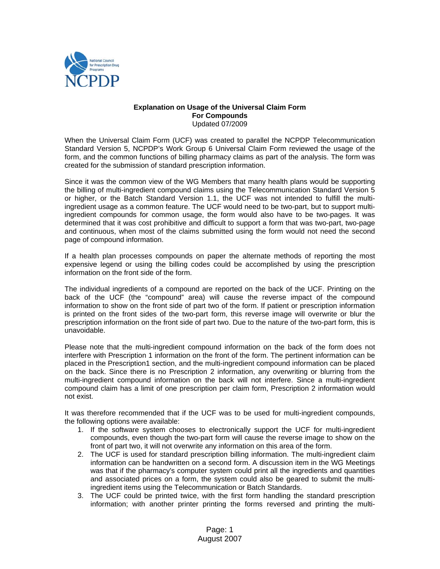

## **Explanation on Usage of the Universal Claim Form For Compounds**  Updated 07/2009

When the Universal Claim Form (UCF) was created to parallel the NCPDP Telecommunication Standard Version 5, NCPDP's Work Group 6 Universal Claim Form reviewed the usage of the form, and the common functions of billing pharmacy claims as part of the analysis. The form was created for the submission of standard prescription information.

Since it was the common view of the WG Members that many health plans would be supporting the billing of multi-ingredient compound claims using the Telecommunication Standard Version 5 or higher, or the Batch Standard Version 1.1, the UCF was not intended to fulfill the multiingredient usage as a common feature. The UCF would need to be two-part, but to support multiingredient compounds for common usage, the form would also have to be two-pages. It was determined that it was cost prohibitive and difficult to support a form that was two-part, two-page and continuous, when most of the claims submitted using the form would not need the second page of compound information.

If a health plan processes compounds on paper the alternate methods of reporting the most expensive legend or using the billing codes could be accomplished by using the prescription information on the front side of the form.

The individual ingredients of a compound are reported on the back of the UCF. Printing on the back of the UCF (the "compound" area) will cause the reverse impact of the compound information to show on the front side of part two of the form. If patient or prescription information is printed on the front sides of the two-part form, this reverse image will overwrite or blur the prescription information on the front side of part two. Due to the nature of the two-part form, this is unavoidable.

Please note that the multi-ingredient compound information on the back of the form does not interfere with Prescription 1 information on the front of the form. The pertinent information can be placed in the Prescription1 section, and the multi-ingredient compound information can be placed on the back. Since there is no Prescription 2 information, any overwriting or blurring from the multi-ingredient compound information on the back will not interfere. Since a multi-ingredient compound claim has a limit of one prescription per claim form, Prescription 2 information would not exist.

It was therefore recommended that if the UCF was to be used for multi-ingredient compounds, the following options were available:

- 1. If the software system chooses to electronically support the UCF for multi-ingredient compounds, even though the two-part form will cause the reverse image to show on the front of part two, it will not overwrite any information on this area of the form.
- 2. The UCF is used for standard prescription billing information. The multi-ingredient claim information can be handwritten on a second form. A discussion item in the WG Meetings was that if the pharmacy's computer system could print all the ingredients and quantities and associated prices on a form, the system could also be geared to submit the multiingredient items using the Telecommunication or Batch Standards.
- 3. The UCF could be printed twice, with the first form handling the standard prescription information; with another printer printing the forms reversed and printing the multi-